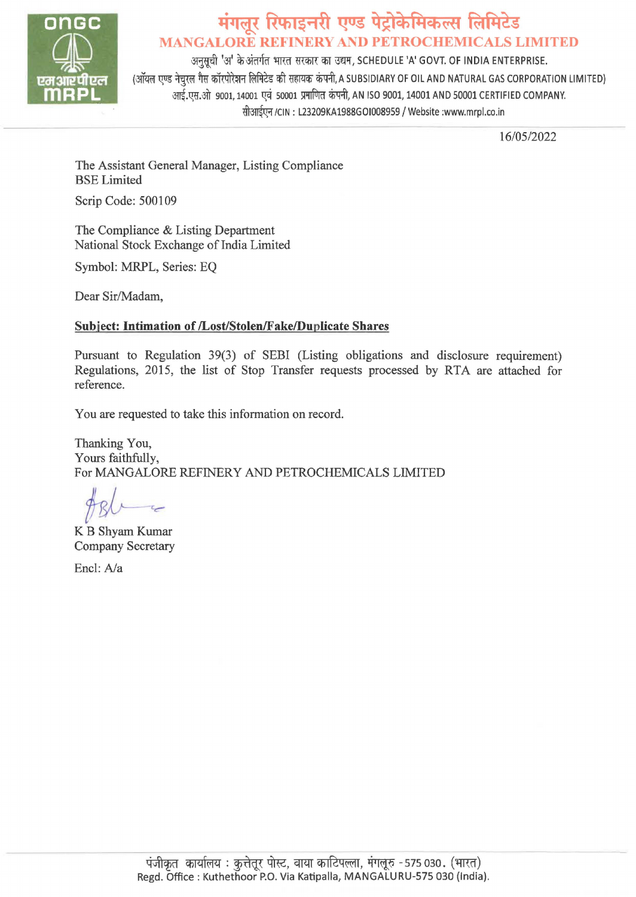

# @ **4~,~ R'h1~<r1f1 1:?Us iri'~f'lef;~ ~f'l~s MANGALORE REFINERY AND PETROCHEMICALS LIMITED**

अनुसुची 'अ' के अंतर्गत भारत सरकार का उद्यम, SCHEDULE 'A' GOVT. OF INDIA ENTERPRISE. (ऑयल एण्ड नेचुरल गैस कॉरपोरेशन लिमिटेड की सहायक कंपनी, A SUBSIDIARY OF OIL AND NATURAL GAS CORPORATION LIMITED) आई.एस.ओ 9001, 14001 एवं 50001 प्रमाणित कंपनी, AN ISO 9001, 14001 AND 50001 CERTIFIED COMPANY. सीआईएन /CIN: L23209KA1988GOI008959 / Website :www.mrpl.co.in

16/05/2022

The Assistant General Manager, Listing Compliance BSE Limited

Scrip Code: 500109

The Compliance & Listing Department National Stock Exchange of India Limited

Symbol: MRPL, Series: EQ

Dear Sir/Madam,

#### **Subject: Intimation of /Lost/Stolen/Fake/Duplicate Shares**

Pursuant to Regulation 39(3) of SEBI (Listing obligations and disclosure requirement) Regulations, 2015, the list of Stop Transfer requests processed by RTA are attached for reference.

You are requested to take this information on record.

Thanking You, Yours faithfully, For MANGALORE REFINERY AND PETROCHEMICALS LIMITED

*fsl--~* 

KB Shyam Kumar Company Secretary

Encl: A/a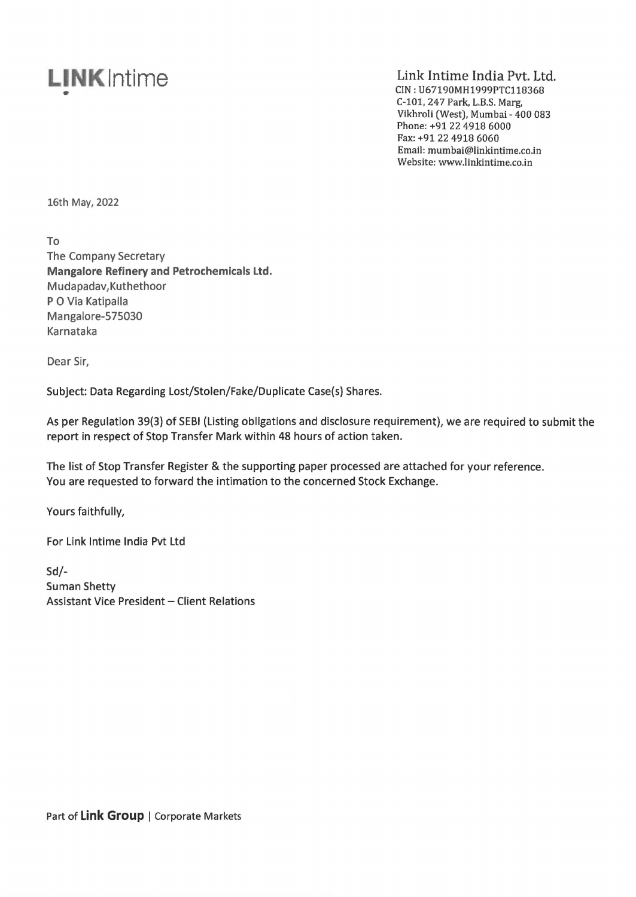### **LINK Intime** •

### Link Intime India Pvt. Ltd.

CIN: U67190MH1999PTC118368 C-101, 247 Park, L.B.S. Marg, Vikhroli (West), Mumbai - 400 083 Phone: +91224918 6000 Fax: +9122 4918 6060 Email: mumbai@linkintime.co.in Website: www.linkintime.co.in

16th May, 2022

To

The Company Secretary **Mangalore Refinery and Petrochemicals Ltd.**  Mudapadav,Kuthethoor P O Via Katipalla Mangalore-575030 Karnataka

Dear Sir,

Subject: Data Regarding Lost/Stolen/Fake/Duplicate Case(s) Shares.

As per Regulation 39(3) of SEBI (Listing obligations and disclosure requirement), we are required to submit the report in respect of Stop Transfer Mark within 48 hours of action taken.

The list of Stop Transfer Register & the supporting paper processed are attached for your reference. You are requested to forward the intimation to the concerned Stock Exchange.

Yours faithfully,

For Link lntime India Pvt Ltd

Sd/- Suman Shetty Assistant Vice President - Client Relations

Part of Link Group | Corporate Markets